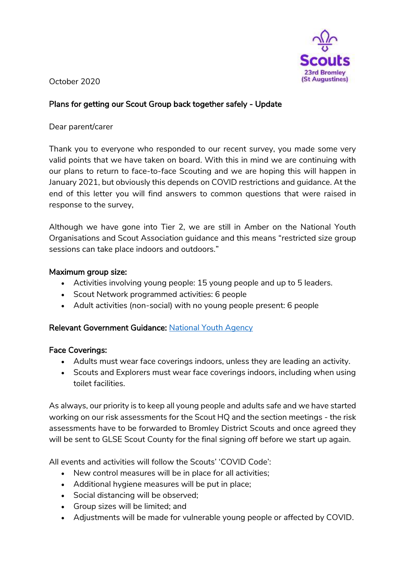

October 2020

# Plans for getting our Scout Group back together safely - Update

### Dear parent/carer

Thank you to everyone who responded to our recent survey, you made some very valid points that we have taken on board. With this in mind we are continuing with our plans to return to face-to-face Scouting and we are hoping this will happen in January 2021, but obviously this depends on COVID restrictions and guidance. At the end of this letter you will find answers to common questions that were raised in response to the survey,

Although we have gone into Tier 2, we are still in Amber on the National Youth Organisations and Scout Association guidance and this means "restricted size group sessions can take place indoors and outdoors."

### Maximum group size:

- Activities involving young people: 15 young people and up to 5 leaders.
- Scout Network programmed activities: 6 people
- Adult activities (non-social) with no young people present: 6 people

## Relevant Government Guidance: [National Youth Agency](https://nya.org.uk/)

## Face Coverings:

- Adults must wear face coverings indoors, unless they are leading an activity.
- Scouts and Explorers must wear face coverings indoors, including when using toilet facilities.

As always, our priority is to keep all young people and adults safe and we have started working on our risk assessments for the Scout HQ and the section meetings - the risk assessments have to be forwarded to Bromley District Scouts and once agreed they will be sent to GLSE Scout County for the final signing off before we start up again.

All events and activities will follow the Scouts' 'COVID Code':

- New control measures will be in place for all activities;
- Additional hygiene measures will be put in place;
- Social distancing will be observed;
- Group sizes will be limited; and
- Adjustments will be made for vulnerable young people or affected by COVID.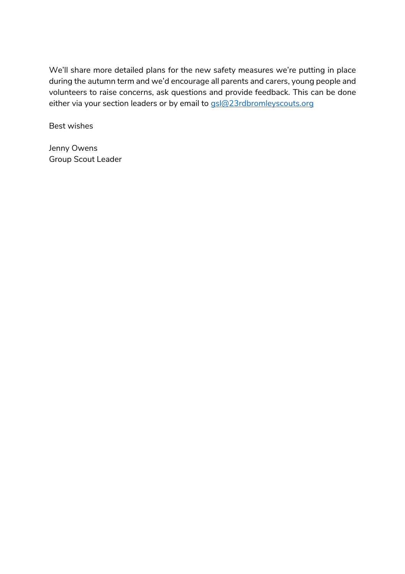We'll share more detailed plans for the new safety measures we're putting in place during the autumn term and we'd encourage all parents and carers, young people and volunteers to raise concerns, ask questions and provide feedback. This can be done either via your section leaders or by email to [gsl@23rdbromleyscouts.org](mailto:gsl@23rdbromleyscouts.org)

Best wishes

Jenny Owens Group Scout Leader